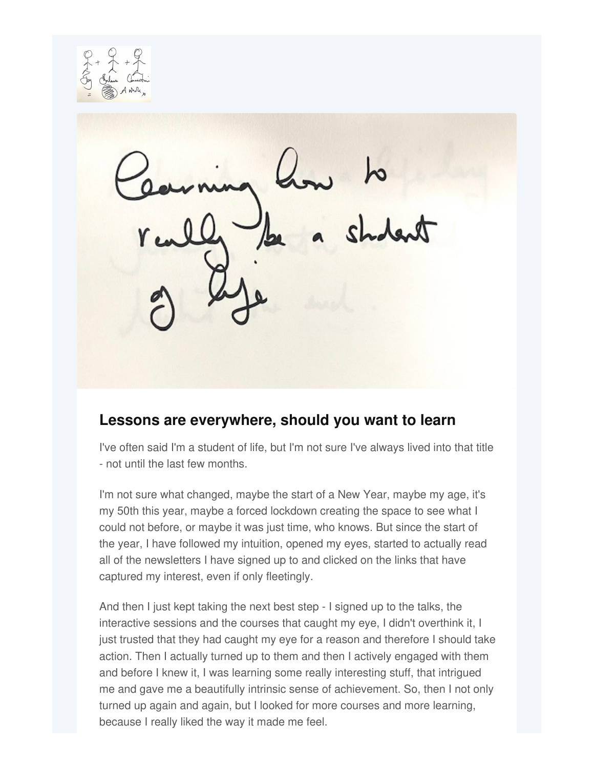# **Lessons are everywhere, should you want to learn**

I've often said I'm a student of life, but I'm not sure I've always lived into that title - not until the last few months.

I'm not sure what changed, maybe the start of a New Year, maybe my age, it's my 50th this year, maybe a forced lockdown creating the space to see what I could not before, or maybe it was just time, who knows. But since the start of the year, I have followed my intuition, opened my eyes, started to actually read all of the newsletters I have signed up to and clicked on the links that have captured my interest, even if only fleetingly.

And then I just kept taking the next best step - I signed up to the talks, the interactive sessions and the courses that caught my eye, I didn't overthink it, I just trusted that they had caught my eye for a reason and therefore I should take action. Then I actually turned up to them and then I actively engaged with them and before I knew it, I was learning some really interesting stuff, that intrigued me and gave me a beautifully intrinsic sense of achievement. So, then I not only turned up again and again, but I looked for more courses and more learning, because I really liked the way it made me feel.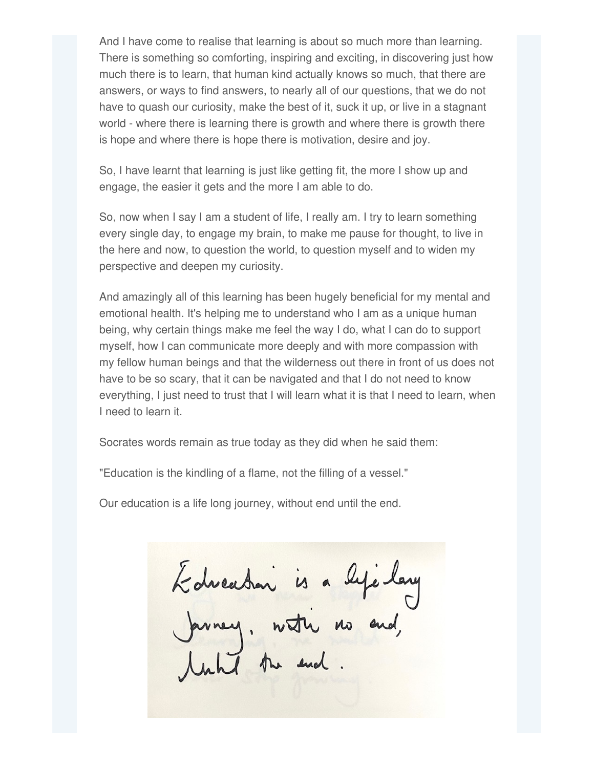And I have come to realise that learning is about so much more than learning. There is something so comforting, inspiring and exciting, in discovering just how much there is to learn, that human kind actually knows so much, that there are answers, or ways to find answers, to nearly all of our questions, that we do not have to quash our curiosity, make the best of it, suck it up, or live in a stagnant world - where there is learning there is growth and where there is growth there is hope and where there is hope there is motivation, desire and joy.

So, I have learnt that learning is just like getting fit, the more I show up and engage, the easier it gets and the more I am able to do.

So, now when I say I am a student of life, I really am. I try to learn something every single day, to engage my brain, to make me pause for thought, to live in the here and now, to question the world, to question myself and to widen my perspective and deepen my curiosity.

And amazingly all of this learning has been hugely beneficial for my mental and emotional health. It's helping me to understand who I am as a unique human being, why certain things make me feel the way I do, what I can do to support myself, how I can communicate more deeply and with more compassion with my fellow human beings and that the wilderness out there in front of us does not have to be so scary, that it can be navigated and that I do not need to know everything, I just need to trust that I will learn what it is that I need to learn, when I need to learn it.

Socrates words remain as true today as they did when he said them:

"Education is the kindling of a flame, not the filling of a vessel."

Our education is a life long journey, without end until the end.

Labreadan is a lyclay<br>Javney, water no and,<br>Junti the end.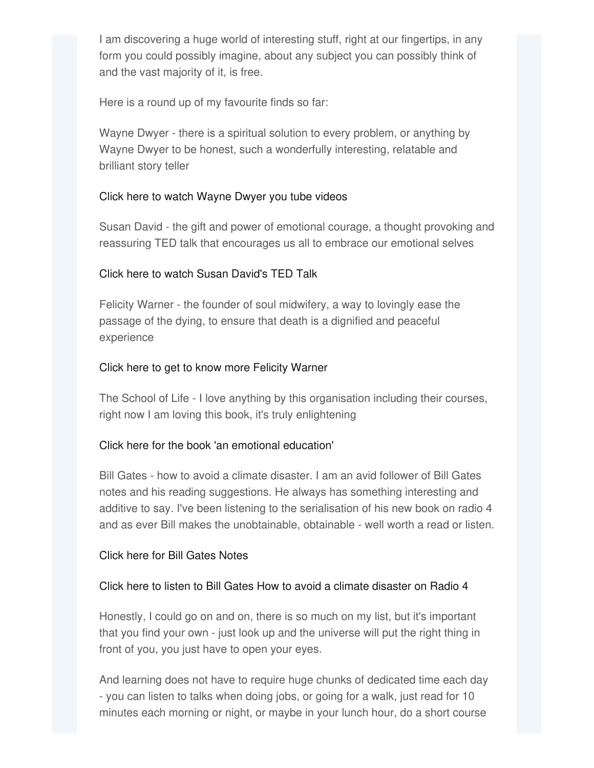I am discovering a huge world of interesting stuff, right at our fingertips, in any form you could possibly imagine, about any subject you can possibly think of and the vast majority of it, is free.

Here is a round up of my favourite finds so far:

Wayne Dwyer - there is a spiritual solution to every problem, or anything by Wayne Dwyer to be honest, such a wonderfully interesting, relatable and brilliant story teller

## Click here to watch [Wayne](https://www.youtube.com/watch?v=F0OPxr5t-0o&t=39s) Dwyer you tube videos

Susan David - the gift and power of emotional courage, a thought provoking and reassuring TED talk that encourages us all to embrace our emotional selves

## Click here to watch Susan [David's](https://www.ted.com/talks/susan_david_the_gift_and_power_of_emotional_courage?referrer=playlist-ted_talks_for_when_you_re_having_an_existential_crisis) TED Talk

Felicity Warner - the founder of soul midwifery, a way to lovingly ease the passage of the dying, to ensure that death is a dignified and peaceful experience

## Click here to get to know more [Felicity](https://www.soulmidwives.co.uk/felicity-warner/video-library/) Warner

The School of Life - I love anything by this organisation including their courses, right now I am loving this book, it's truly enlightening

### Click here for the book 'an emotional [education](https://www.theschooloflife.com/shop/the-school-of-life-an-emotional-education/)'

Bill Gates - how to avoid a climate disaster. I am an avid follower of Bill Gates notes and his reading suggestions. He always has something interesting and additive to say. I've been listening to the serialisation of his new book on radio 4 and as ever Bill makes the unobtainable, obtainable - well worth a read or listen.

### Click here for Bill [Gates](https://www.gatesnotes.com/Climate-and-energy?preview&Climate-SU=1&WT.mc_id=20210121000000_TGNICA_BG-PDM-PG-Global-SignupPage_JoinCommunity-Bill_Gates&WT.tsrc=BGSEM&gclid=CjwKCAiAp4KCBhB6EiwAxRxbpPPc6gplWQEOSUuFu9p71LcnBgrxjmavoB0PqErW9lIWr3yXZLiLABoCdgYQAvD_BwE) Notes

### Click here to listen to Bill Gates How to avoid a climate [disaster](https://www.bbc.co.uk/sounds/series/m000s7ly) on Radio 4

Honestly, I could go on and on, there is so much on my list, but it's important that you find your own - just look up and the universe will put the right thing in front of you, you just have to open your eyes.

And learning does not have to require huge chunks of dedicated time each day - you can listen to talks when doing jobs, or going for a walk, just read for 10 minutes each morning or night, or maybe in your lunch hour, do a short course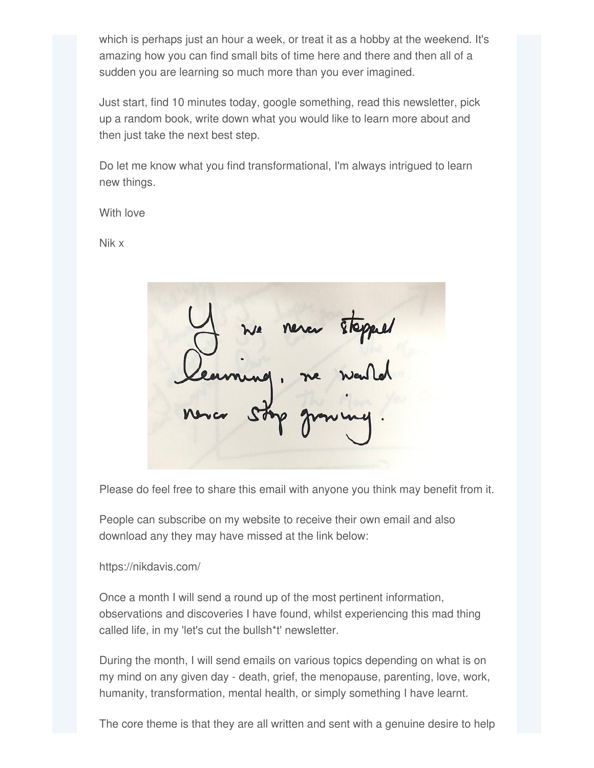which is perhaps just an hour a week, or treat it as a hobby at the weekend. It's amazing how you can find small bits of time here and there and then all of a sudden you are learning so much more than you ever imagined.

Just start, find 10 minutes today, google something, read this newsletter, pick up a random book, write down what you would like to learn more about and then just take the next best step.

Do let me know what you find transformational, I'm always intrigued to learn new things.

With love

Nik x

never stopped

Please do feel free to share this email with anyone you think may benefit from it.

People can subscribe on my website to receive their own email and also download any they may have missed at the link below:

https://nikdavis.com/

Once a month I will send a round up of the most pertinent information, observations and discoveries I have found, whilst experiencing this mad thing called life, in my 'let's cut the bullsh\*t' newsletter.

During the month, I will send emails on various topics depending on what is on my mind on any given day - death, grief, the menopause, parenting, love, work, humanity, transformation, mental health, or simply something I have learnt.

The core theme is that they are all written and sent with a genuine desire to help